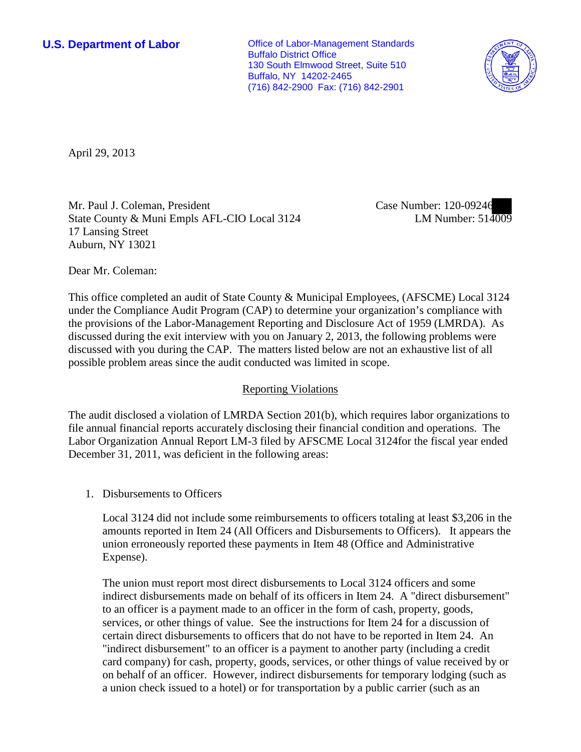**U.S. Department of Labor Conservative Conservative Conservative Conservative Conservative Conservative Conservative Conservative Conservative Conservative Conservative Conservative Conservative Conservative Conservative** Buffalo District Office 130 South Elmwood Street, Suite 510 Buffalo, NY 14202-2465 (716) 842-2900 Fax: (716) 842-2901



April 29, 2013

Mr. Paul J. Coleman, President State County & Muni Empls AFL-CIO Local 3124 17 Lansing Street Auburn, NY 13021

Case Number: 120-09246 LM Number: 514009

Dear Mr. Coleman:

This office completed an audit of State County & Municipal Employees, (AFSCME) Local 3124 under the Compliance Audit Program (CAP) to determine your organization's compliance with the provisions of the Labor-Management Reporting and Disclosure Act of 1959 (LMRDA). As discussed during the exit interview with you on January 2, 2013, the following problems were discussed with you during the CAP. The matters listed below are not an exhaustive list of all possible problem areas since the audit conducted was limited in scope.

## Reporting Violations

The audit disclosed a violation of LMRDA Section 201(b), which requires labor organizations to file annual financial reports accurately disclosing their financial condition and operations. The Labor Organization Annual Report LM-3 filed by AFSCME Local 3124for the fiscal year ended December 31, 2011, was deficient in the following areas:

1. Disbursements to Officers

Local 3124 did not include some reimbursements to officers totaling at least \$3,206 in the amounts reported in Item 24 (All Officers and Disbursements to Officers). It appears the union erroneously reported these payments in Item 48 (Office and Administrative Expense).

The union must report most direct disbursements to Local 3124 officers and some indirect disbursements made on behalf of its officers in Item 24. A "direct disbursement" to an officer is a payment made to an officer in the form of cash, property, goods, services, or other things of value. See the instructions for Item 24 for a discussion of certain direct disbursements to officers that do not have to be reported in Item 24. An "indirect disbursement" to an officer is a payment to another party (including a credit card company) for cash, property, goods, services, or other things of value received by or on behalf of an officer. However, indirect disbursements for temporary lodging (such as a union check issued to a hotel) or for transportation by a public carrier (such as an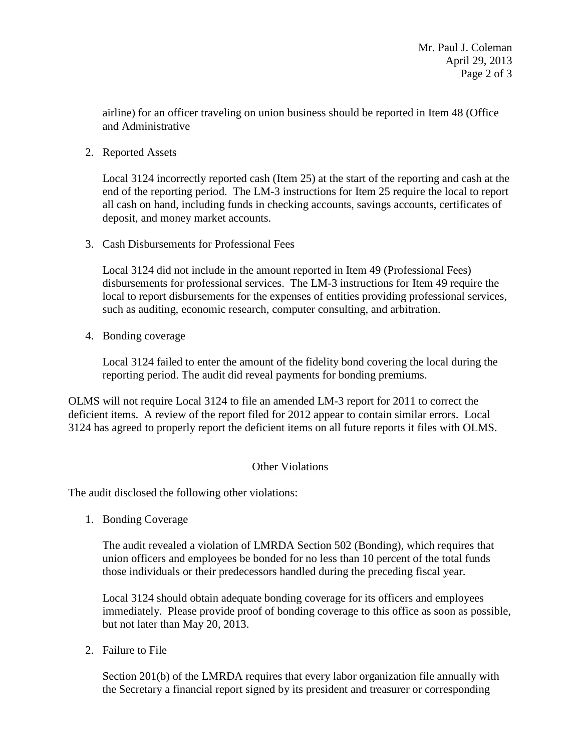airline) for an officer traveling on union business should be reported in Item 48 (Office and Administrative

2. Reported Assets

Local 3124 incorrectly reported cash (Item 25) at the start of the reporting and cash at the end of the reporting period. The LM-3 instructions for Item 25 require the local to report all cash on hand, including funds in checking accounts, savings accounts, certificates of deposit, and money market accounts.

3. Cash Disbursements for Professional Fees

Local 3124 did not include in the amount reported in Item 49 (Professional Fees) disbursements for professional services. The LM-3 instructions for Item 49 require the local to report disbursements for the expenses of entities providing professional services, such as auditing, economic research, computer consulting, and arbitration.

4. Bonding coverage

Local 3124 failed to enter the amount of the fidelity bond covering the local during the reporting period. The audit did reveal payments for bonding premiums.

OLMS will not require Local 3124 to file an amended LM-3 report for 2011 to correct the deficient items. A review of the report filed for 2012 appear to contain similar errors. Local 3124 has agreed to properly report the deficient items on all future reports it files with OLMS.

## Other Violations

The audit disclosed the following other violations:

1. Bonding Coverage

The audit revealed a violation of LMRDA Section 502 (Bonding), which requires that union officers and employees be bonded for no less than 10 percent of the total funds those individuals or their predecessors handled during the preceding fiscal year.

Local 3124 should obtain adequate bonding coverage for its officers and employees immediately. Please provide proof of bonding coverage to this office as soon as possible, but not later than May 20, 2013.

2. Failure to File

Section 201(b) of the LMRDA requires that every labor organization file annually with the Secretary a financial report signed by its president and treasurer or corresponding